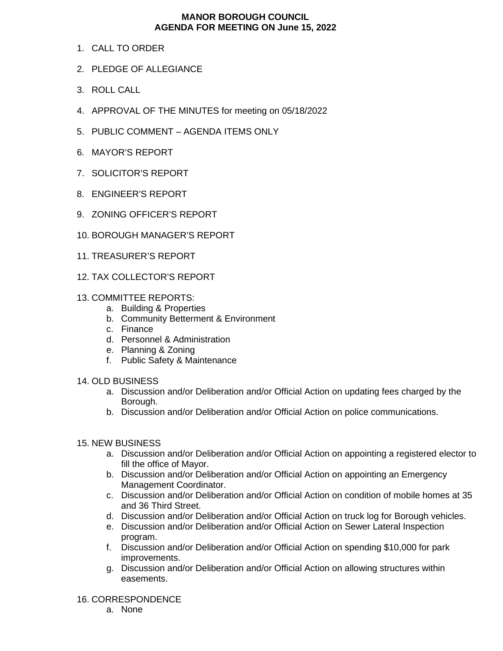## **MANOR BOROUGH COUNCIL AGENDA FOR MEETING ON June 15, 2022**

- 1. CALL TO ORDER
- 2. PLEDGE OF ALLEGIANCE
- 3. ROLL CALL
- 4. APPROVAL OF THE MINUTES for meeting on 05/18/2022
- 5. PUBLIC COMMENT AGENDA ITEMS ONLY
- 6. MAYOR'S REPORT
- 7. SOLICITOR'S REPORT
- 8. ENGINEER'S REPORT
- 9. ZONING OFFICER'S REPORT
- 10. BOROUGH MANAGER'S REPORT
- 11. TREASURER'S REPORT
- 12. TAX COLLECTOR'S REPORT
- 13. COMMITTEE REPORTS:
	- a. Building & Properties
	- b. Community Betterment & Environment
	- c. Finance
	- d. Personnel & Administration
	- e. Planning & Zoning
	- f. Public Safety & Maintenance

## 14. OLD BUSINESS

- a. Discussion and/or Deliberation and/or Official Action on updating fees charged by the Borough.
- b. Discussion and/or Deliberation and/or Official Action on police communications.

## 15. NEW BUSINESS

- a. Discussion and/or Deliberation and/or Official Action on appointing a registered elector to fill the office of Mayor.
- b. Discussion and/or Deliberation and/or Official Action on appointing an Emergency Management Coordinator.
- c. Discussion and/or Deliberation and/or Official Action on condition of mobile homes at 35 and 36 Third Street.
- d. Discussion and/or Deliberation and/or Official Action on truck log for Borough vehicles.
- e. Discussion and/or Deliberation and/or Official Action on Sewer Lateral Inspection program.
- f. Discussion and/or Deliberation and/or Official Action on spending \$10,000 for park improvements.
- g. Discussion and/or Deliberation and/or Official Action on allowing structures within easements.

## 16. CORRESPONDENCE

a. None